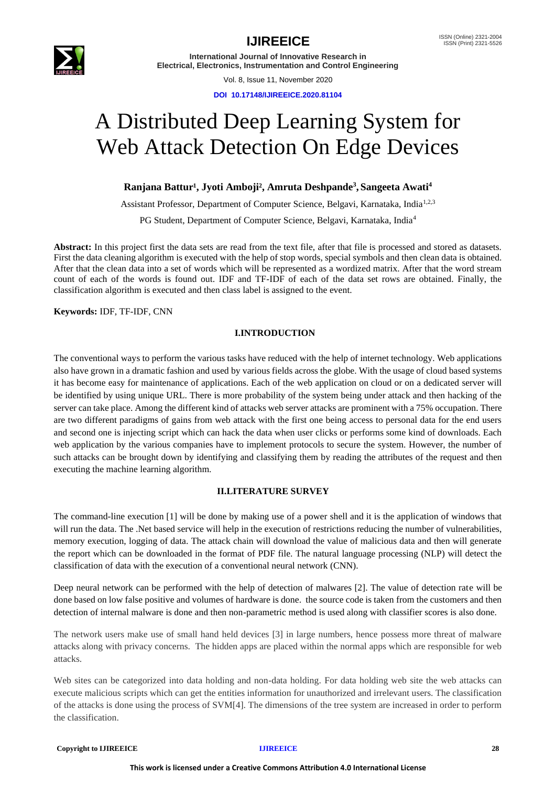

Vol. 8, Issue 11, November 2020

**DOI 10.17148/IJIREEICE.2020.81104**

# A Distributed Deep Learning System for Web Attack Detection On Edge Devices

# **Ranjana Battur¹, Jyoti Amboji², Amruta Deshpande<sup>3</sup> , Sangeeta Awati<sup>4</sup>**

Assistant Professor, Department of Computer Science, Belgavi, Karnataka, India<sup>1,2,3</sup> PG Student, Department of Computer Science, Belgavi, Karnataka, India<sup>4</sup>

**Abstract:** In this project first the data sets are read from the text file, after that file is processed and stored as datasets. First the data cleaning algorithm is executed with the help of stop words, special symbols and then clean data is obtained. After that the clean data into a set of words which will be represented as a wordized matrix. After that the word stream count of each of the words is found out. IDF and TF-IDF of each of the data set rows are obtained. Finally, the classification algorithm is executed and then class label is assigned to the event.

**Keywords:** IDF, TF-IDF, CNN

# **I.INTRODUCTION**

The conventional ways to perform the various tasks have reduced with the help of internet technology. Web applications also have grown in a dramatic fashion and used by various fields across the globe. With the usage of cloud based systems it has become easy for maintenance of applications. Each of the web application on cloud or on a dedicated server will be identified by using unique URL. There is more probability of the system being under attack and then hacking of the server can take place. Among the different kind of attacks web server attacks are prominent with a 75% occupation. There are two different paradigms of gains from web attack with the first one being access to personal data for the end users and second one is injecting script which can hack the data when user clicks or performs some kind of downloads. Each web application by the various companies have to implement protocols to secure the system. However, the number of such attacks can be brought down by identifying and classifying them by reading the attributes of the request and then executing the machine learning algorithm.

# **II.LITERATURE SURVEY**

The command-line execution [1] will be done by making use of a power shell and it is the application of windows that will run the data. The .Net based service will help in the execution of restrictions reducing the number of vulnerabilities, memory execution, logging of data. The attack chain will download the value of malicious data and then will generate the report which can be downloaded in the format of PDF file. The natural language processing (NLP) will detect the classification of data with the execution of a conventional neural network (CNN).

Deep neural network can be performed with the help of detection of malwares [2]. The value of detection rate will be done based on low false positive and volumes of hardware is done. the source code is taken from the customers and then detection of internal malware is done and then non-parametric method is used along with classifier scores is also done.

The network users make use of small hand held devices [3] in large numbers, hence possess more threat of malware attacks along with privacy concerns. The hidden apps are placed within the normal apps which are responsible for web attacks.

Web sites can be categorized into data holding and non-data holding. For data holding web site the web attacks can execute malicious scripts which can get the entities information for unauthorized and irrelevant users. The classification of the attacks is done using the process of SVM[4]. The dimensions of the tree system are increased in order to perform the classification.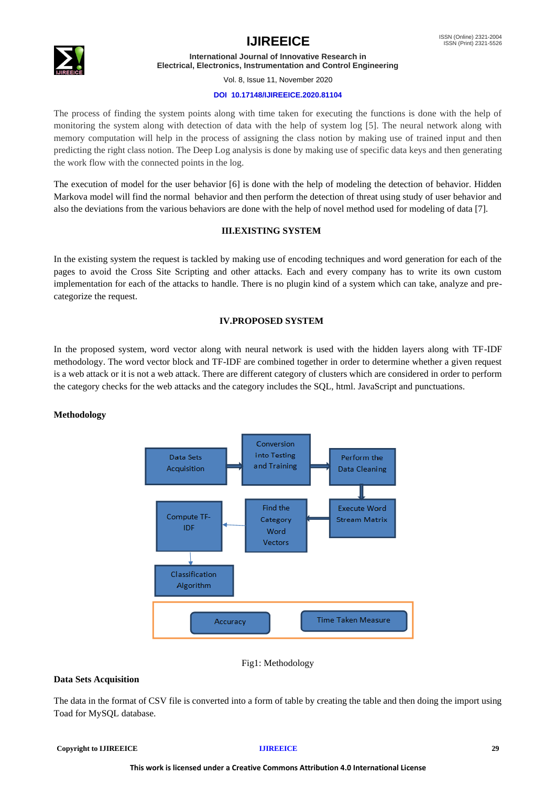



Vol. 8, Issue 11, November 2020

### **DOI 10.17148/IJIREEICE.2020.81104**

The process of finding the system points along with time taken for executing the functions is done with the help of monitoring the system along with detection of data with the help of system log [5]. The neural network along with memory computation will help in the process of assigning the class notion by making use of trained input and then predicting the right class notion. The Deep Log analysis is done by making use of specific data keys and then generating the work flow with the connected points in the log.

The execution of model for the user behavior [6] is done with the help of modeling the detection of behavior. Hidden Markova model will find the normal behavior and then perform the detection of threat using study of user behavior and also the deviations from the various behaviors are done with the help of novel method used for modeling of data [7].

# **III.EXISTING SYSTEM**

In the existing system the request is tackled by making use of encoding techniques and word generation for each of the pages to avoid the Cross Site Scripting and other attacks. Each and every company has to write its own custom implementation for each of the attacks to handle. There is no plugin kind of a system which can take, analyze and precategorize the request.

# **IV.PROPOSED SYSTEM**

In the proposed system, word vector along with neural network is used with the hidden layers along with TF-IDF methodology. The word vector block and TF-IDF are combined together in order to determine whether a given request is a web attack or it is not a web attack. There are different category of clusters which are considered in order to perform the category checks for the web attacks and the category includes the SQL, html. JavaScript and punctuations.

# **Methodology**



Fig1: Methodology

# **Data Sets Acquisition**

The data in the format of CSV file is converted into a form of table by creating the table and then doing the import using Toad for MySQL database.

**Copyright to IJIREEICE [IJIREEICE](https://ijireeice.com/) 29**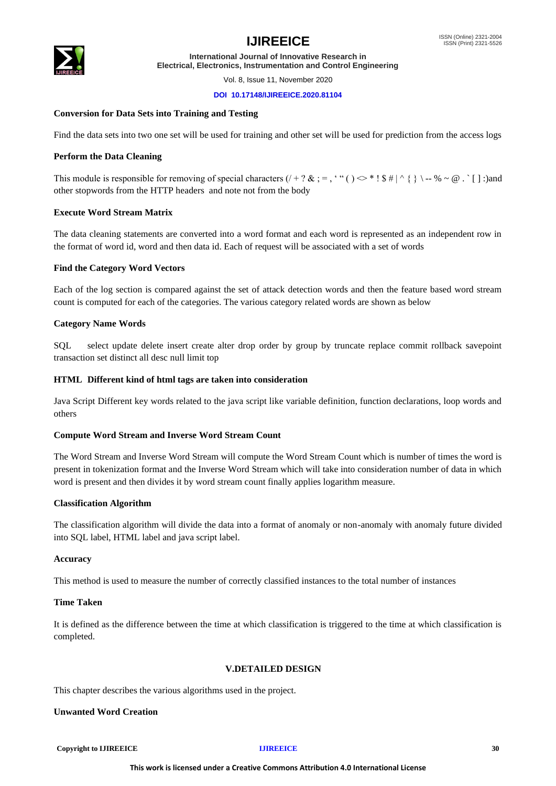

Vol. 8, Issue 11, November 2020

### **DOI 10.17148/IJIREEICE.2020.81104**

# **Conversion for Data Sets into Training and Testing**

Find the data sets into two one set will be used for training and other set will be used for prediction from the access logs

# **Perform the Data Cleaning**

This module is responsible for removing of special characters  $(7 + ? &;; =, " () \Rightarrow * ! \$   $\# \wedge \{ \} \rightarrow \% \sim @. '[] :$ )and other stopwords from the HTTP headers and note not from the body

# **Execute Word Stream Matrix**

The data cleaning statements are converted into a word format and each word is represented as an independent row in the format of word id, word and then data id. Each of request will be associated with a set of words

# **Find the Category Word Vectors**

Each of the log section is compared against the set of attack detection words and then the feature based word stream count is computed for each of the categories. The various category related words are shown as below

# **Category Name Words**

SQL select update delete insert create alter drop order by group by truncate replace commit rollback savepoint transaction set distinct all desc null limit top

# **HTML Different kind of html tags are taken into consideration**

Java Script Different key words related to the java script like variable definition, function declarations, loop words and others

# **Compute Word Stream and Inverse Word Stream Count**

The Word Stream and Inverse Word Stream will compute the Word Stream Count which is number of times the word is present in tokenization format and the Inverse Word Stream which will take into consideration number of data in which word is present and then divides it by word stream count finally applies logarithm measure.

# **Classification Algorithm**

The classification algorithm will divide the data into a format of anomaly or non-anomaly with anomaly future divided into SQL label, HTML label and java script label.

# **Accuracy**

This method is used to measure the number of correctly classified instances to the total number of instances

# **Time Taken**

It is defined as the difference between the time at which classification is triggered to the time at which classification is completed.

# **V.DETAILED DESIGN**

This chapter describes the various algorithms used in the project.

# **Unwanted Word Creation**

**Copyright to IJIREEICE [IJIREEICE](https://ijireeice.com/) 30**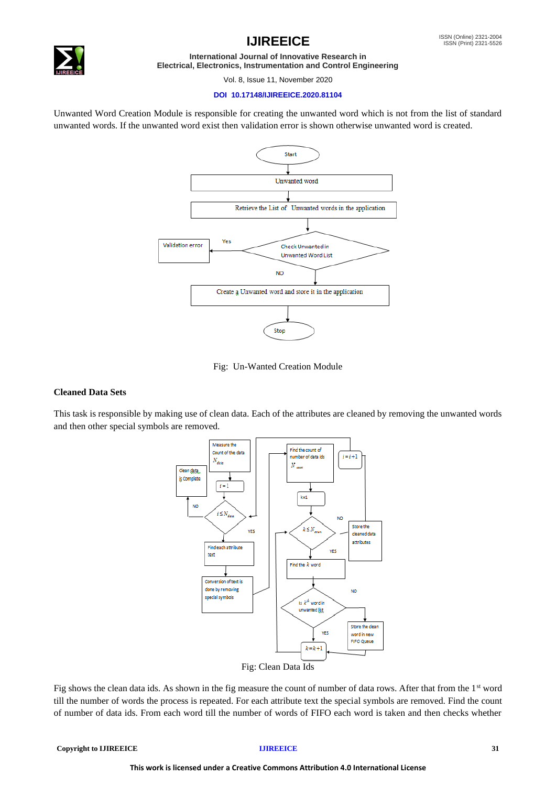### Vol. 8, Issue 11, November 2020

# **DOI 10.17148/IJIREEICE.2020.81104**

Unwanted Word Creation Module is responsible for creating the unwanted word which is not from the list of standard unwanted words. If the unwanted word exist then validation error is shown otherwise unwanted word is created.



Fig: Un-Wanted Creation Module

# **Cleaned Data Sets**

This task is responsible by making use of clean data. Each of the attributes are cleaned by removing the unwanted words and then other special symbols are removed.



Fig shows the clean data ids. As shown in the fig measure the count of number of data rows. After that from the 1<sup>st</sup> word till the number of words the process is repeated. For each attribute text the special symbols are removed. Find the count of number of data ids. From each word till the number of words of FIFO each word is taken and then checks whether

### **Copyright to IJIREEICE [IJIREEICE](https://ijireeice.com/) 31**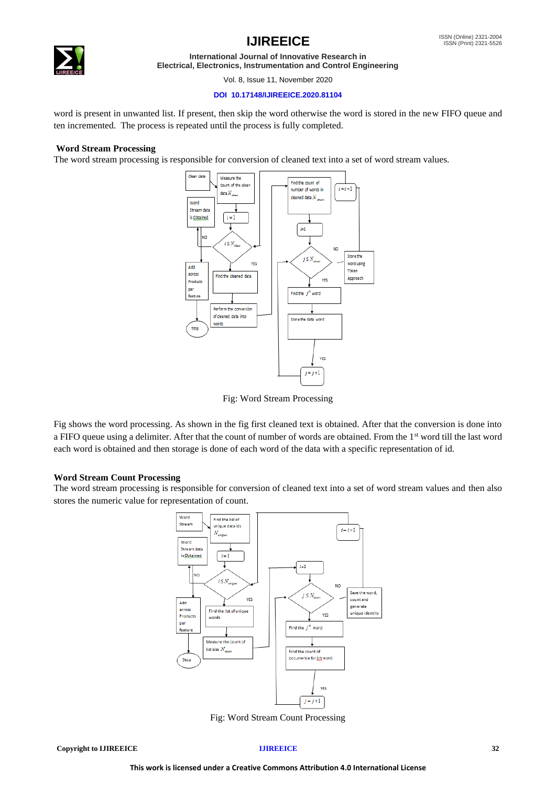

### Vol. 8, Issue 11, November 2020

# **DOI 10.17148/IJIREEICE.2020.81104**

word is present in unwanted list. If present, then skip the word otherwise the word is stored in the new FIFO queue and ten incremented. The process is repeated until the process is fully completed.

### **Word Stream Processing**

The word stream processing is responsible for conversion of cleaned text into a set of word stream values.



Fig: Word Stream Processing

Fig shows the word processing. As shown in the fig first cleaned text is obtained. After that the conversion is done into a FIFO queue using a delimiter. After that the count of number of words are obtained. From the 1<sup>st</sup> word till the last word each word is obtained and then storage is done of each word of the data with a specific representation of id.

# **Word Stream Count Processing**

The word stream processing is responsible for conversion of cleaned text into a set of word stream values and then also stores the numeric value for representation of count.



Fig: Word Stream Count Processing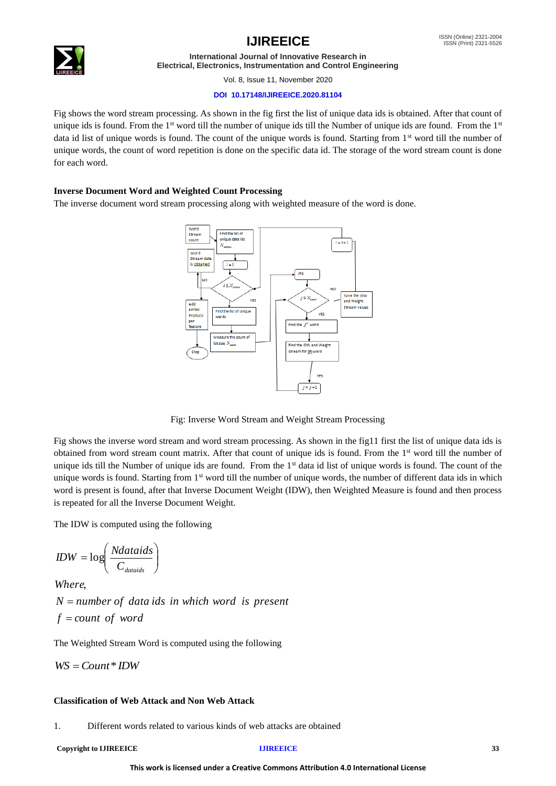

Vol. 8, Issue 11, November 2020

# **DOI 10.17148/IJIREEICE.2020.81104**

Fig shows the word stream processing. As shown in the fig first the list of unique data ids is obtained. After that count of unique ids is found. From the  $1<sup>st</sup>$  word till the number of unique ids till the Number of unique ids are found. From the  $1<sup>st</sup>$ data id list of unique words is found. The count of the unique words is found. Starting from 1<sup>st</sup> word till the number of unique words, the count of word repetition is done on the specific data id. The storage of the word stream count is done for each word.

# **Inverse Document Word and Weighted Count Processing**

The inverse document word stream processing along with weighted measure of the word is done.



Fig: Inverse Word Stream and Weight Stream Processing

Fig shows the inverse word stream and word stream processing. As shown in the fig11 first the list of unique data ids is obtained from word stream count matrix. After that count of unique ids is found. From the 1<sup>st</sup> word till the number of unique ids till the Number of unique ids are found. From the  $1<sup>st</sup>$  data id list of unique words is found. The count of the unique words is found. Starting from  $1<sup>st</sup>$  word till the number of unique words, the number of different data ids in which word is present is found, after that Inverse Document Weight (IDW), then Weighted Measure is found and then process is repeated for all the Inverse Document Weight.

The IDW is computed using the following

$$
IDW = log\left(\frac{Ndataids}{C_{dataids}}\right)
$$

*f count of word* =  $N =$  *number of data ids in which word is present Where* ,

The Weighted Stream Word is computed using the following

*WS* = *Count*\**IDW*

# **Classification of Web Attack and Non Web Attack**

1. Different words related to various kinds of web attacks are obtained

```
Copyright to IJIREEICE IJIREEICE 33
```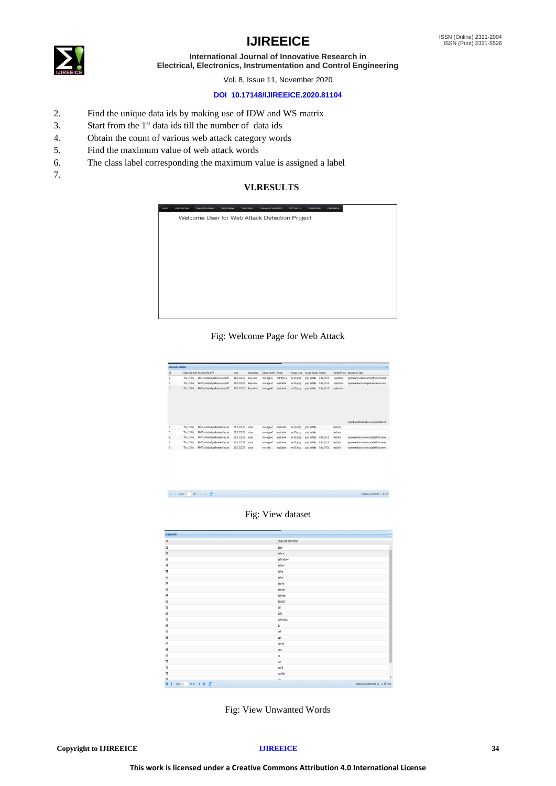# **IJIREEICE ISSN** (Online) 2321-2004



**International Journal of Innovative Research in**

**Electrical, Electronics, Instrumentation and Control Engineering**

Vol. 8, Issue 11, November 2020

### **DOI 10.17148/IJIREEICE.2020.81104**

- 2. Find the unique data ids by making use of IDW and WS matrix
- 3. Start from the  $1<sup>st</sup>$  data ids till the number of data ids
- 4. Obtain the count of various web attack category words
- 5. Find the maximum value of web attack words
- 6. The class label corresponding the maximum value is assigned a label
- 7.

# **VI.RESULTS**



# Fig: Welcome Page for Web Attack

| m<br>Hock<br>Date Informati Request URL Info.<br>Cache Control Accept<br>Accept Encodir Referent<br>Connection<br>Content Type Description Data<br>Accept Lang<br>POST /vulnbank/online/api.php HT.<br>10.0.212.25<br>teithtrila<br>http://10.0<br>type=user)%3bdeclare%20@q%20varchar.<br>Thu, 15 Ma.<br>keep-airve<br>max-age=0<br>en-US,ento.<br>azio, deflate<br>spplication.<br>POST /vulnbank/online/api.php HT.<br>10.0.212.25<br>http://10.0<br>hpe=userBaction=loginBusemame=nonel<br>Thu, 15 Ma.<br>keep-aive<br>max-age=0<br>application.<br>en-US.ento.<br>azio, defiate<br>application.<br>2<br>POST /vuinbank/online/api.php HT<br>10.0.212.25<br>application.<br>en-US.ento. azio, defiate<br>http://10.0<br>application.<br>3<br>Thu, 15 Ma.<br>keep-aive<br>max-age+0<br>type=transaction&action=send&sender=0.<br>POST /vulnbank/onlinebank/api.ph.<br>Thu, 15 Ma.<br>10.0.212.25<br>en-US.ento<br>textion!<br>dose<br>max-age+0<br>application.<br>gzip, defiate<br>4<br>POST /vuinbank/onlinebank/api.gh<br>10.0.212.25<br>dose<br>application.<br>en-US.en:q<br>gop, deflate<br>text/xml<br>Thu, 15 Ma.<br>max-age=0<br>type=userBaction=infoupdateBfirstname=.<br>POST /vuinbank/onlinebank/api.gh<br>10.0.212.25<br>dose<br>application.<br>en-US.enrg<br>goo, defiate<br>http://10.0<br>Thu, 15 Ma.<br>max-age+0<br>text/xml<br>$\overline{6}$<br>crio, deflate<br>type=userBaction=infouodateBfirstname=<br>POST /vulnbank/onlinebank/ask.ph<br>10.0.212.25<br>dose<br>application.<br>en-US,en;o<br>http://10.0<br>text/xml<br>Thu, 15 Ma.<br>max-age=0<br>dose<br>gzip, defiate<br>type=user8action=infoupdate8firstname=.<br>Thu, 15 Ma. POST /vulnbank/onlinebank/api.ph.<br>10.0.212.25<br>application.<br>en-US.ento.<br>http://7v3i.<br>text/xml<br>8<br>no-cathe, |
|----------------------------------------------------------------------------------------------------------------------------------------------------------------------------------------------------------------------------------------------------------------------------------------------------------------------------------------------------------------------------------------------------------------------------------------------------------------------------------------------------------------------------------------------------------------------------------------------------------------------------------------------------------------------------------------------------------------------------------------------------------------------------------------------------------------------------------------------------------------------------------------------------------------------------------------------------------------------------------------------------------------------------------------------------------------------------------------------------------------------------------------------------------------------------------------------------------------------------------------------------------------------------------------------------------------------------------------------------------------------------------------------------------------------------------------------------------------------------------------------------------------------------------------------------------------------------------------------------------------------------------------------------------------------------------------------------------------------------------------------------------------------------------------------------|
|                                                                                                                                                                                                                                                                                                                                                                                                                                                                                                                                                                                                                                                                                                                                                                                                                                                                                                                                                                                                                                                                                                                                                                                                                                                                                                                                                                                                                                                                                                                                                                                                                                                                                                                                                                                                    |
|                                                                                                                                                                                                                                                                                                                                                                                                                                                                                                                                                                                                                                                                                                                                                                                                                                                                                                                                                                                                                                                                                                                                                                                                                                                                                                                                                                                                                                                                                                                                                                                                                                                                                                                                                                                                    |
|                                                                                                                                                                                                                                                                                                                                                                                                                                                                                                                                                                                                                                                                                                                                                                                                                                                                                                                                                                                                                                                                                                                                                                                                                                                                                                                                                                                                                                                                                                                                                                                                                                                                                                                                                                                                    |
|                                                                                                                                                                                                                                                                                                                                                                                                                                                                                                                                                                                                                                                                                                                                                                                                                                                                                                                                                                                                                                                                                                                                                                                                                                                                                                                                                                                                                                                                                                                                                                                                                                                                                                                                                                                                    |
|                                                                                                                                                                                                                                                                                                                                                                                                                                                                                                                                                                                                                                                                                                                                                                                                                                                                                                                                                                                                                                                                                                                                                                                                                                                                                                                                                                                                                                                                                                                                                                                                                                                                                                                                                                                                    |
|                                                                                                                                                                                                                                                                                                                                                                                                                                                                                                                                                                                                                                                                                                                                                                                                                                                                                                                                                                                                                                                                                                                                                                                                                                                                                                                                                                                                                                                                                                                                                                                                                                                                                                                                                                                                    |
|                                                                                                                                                                                                                                                                                                                                                                                                                                                                                                                                                                                                                                                                                                                                                                                                                                                                                                                                                                                                                                                                                                                                                                                                                                                                                                                                                                                                                                                                                                                                                                                                                                                                                                                                                                                                    |
|                                                                                                                                                                                                                                                                                                                                                                                                                                                                                                                                                                                                                                                                                                                                                                                                                                                                                                                                                                                                                                                                                                                                                                                                                                                                                                                                                                                                                                                                                                                                                                                                                                                                                                                                                                                                    |
|                                                                                                                                                                                                                                                                                                                                                                                                                                                                                                                                                                                                                                                                                                                                                                                                                                                                                                                                                                                                                                                                                                                                                                                                                                                                                                                                                                                                                                                                                                                                                                                                                                                                                                                                                                                                    |
|                                                                                                                                                                                                                                                                                                                                                                                                                                                                                                                                                                                                                                                                                                                                                                                                                                                                                                                                                                                                                                                                                                                                                                                                                                                                                                                                                                                                                                                                                                                                                                                                                                                                                                                                                                                                    |

# Fig: View dataset

| <b>Stopwords</b>         | $\overline{\mathbf{z}}$              |
|--------------------------|--------------------------------------|
| Đ                        | Stopword Information                 |
| 51                       | $\Delta$<br>been                     |
| 52                       | before                               |
| 53                       | beforehand                           |
| 54                       | behind                               |
| 55                       | being                                |
| 56                       | below                                |
| 57                       | beside                               |
| SB <sub>3</sub>          | besides                              |
| 59                       | between                              |
| 60                       | beyond                               |
| 61                       | ы                                    |
| 62                       | both                                 |
| 63                       | bottombut                            |
| 64                       | by.                                  |
| 65                       | al                                   |
| 66                       | can                                  |
| 67                       | cannet                               |
| 68                       | cant                                 |
| 69                       | œ                                    |
|                          | CDB                                  |
| $\overline{n}$           | could                                |
| $\overline{n}$           | couldnt                              |
| $\overline{\mathbf{r}}$  | $\cdot$<br>m                         |
| d의 > 비 운<br>K4<br>Page 3 | Displaying Stopwords 51 - 75 of 1020 |

Fig: View Unwanted Words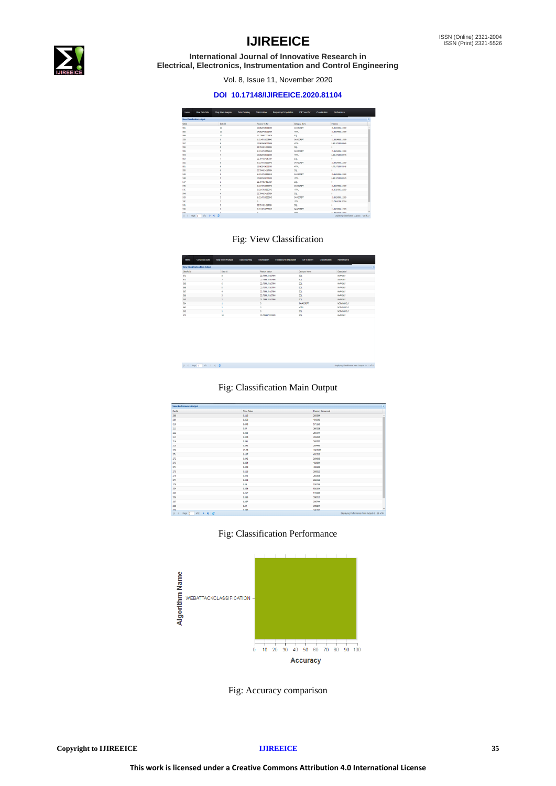

# Vol. 8, Issue 11, November 2020

### **DOI 10.17148/IJIREEICE.2020.81104**

| <b>Home</b>            | <b>View Data Sets</b>             | Stop Word Analysis | Data Cleaning | Tolanization     | <b>Frequency Computation</b> | <b>IDET and PV</b> | Classification | Performance                                                         |  |
|------------------------|-----------------------------------|--------------------|---------------|------------------|------------------------------|--------------------|----------------|---------------------------------------------------------------------|--|
|                        | <b>View Classification output</b> |                    |               |                  |                              |                    |                |                                                                     |  |
| Cells                  |                                   | Data Id            |               | Feature Vector   |                              | Catagory Name      |                | Distance                                                            |  |
| 561                    |                                   | 50                 |               | 11.603456111080  |                              | <b>JAVASCRIPT</b>  |                | 16.9670436111090                                                    |  |
| 560                    |                                   | $10 -$             |               | 14.0629436111989 |                              | HTML               |                | 15.0629436111909                                                    |  |
| 559                    |                                   | 50                 |               | 30.7258872223978 |                              | SOL                |                | n                                                                   |  |
| 558                    |                                   |                    |               | 6.93147180559945 |                              | <b>JAVASCRIPT</b>  |                | 15.0620436111999                                                    |  |
| 557                    |                                   |                    |               | 13.8629436111989 |                              | <b>HTML</b>        |                | 8.931-77180559945                                                   |  |
| 556                    |                                   |                    |               | 22.7544154557084 |                              | 50L                |                | $\circ$                                                             |  |
| 555                    |                                   |                    |               | 6.93147180539945 |                              | <b>MARSCRIPT</b>   |                | 15.0029436111909                                                    |  |
| 554                    |                                   |                    |               | 13.60345611108   |                              | HTML               |                | 8.93147180558945                                                    |  |
| 553                    |                                   |                    |               | 22.7044154167084 |                              | 50L                |                | $\alpha$                                                            |  |
| 552                    |                                   |                    |               | 6.93147180559945 |                              | <b>JAVASCRIPT</b>  |                | 15.8629436111999                                                    |  |
| 551                    |                                   |                    |               | 13.8629436311989 |                              | HTML               |                | 8.93147180550945                                                    |  |
| 550                    |                                   |                    |               | 22.7944154167984 |                              | 500                |                | $\Delta$                                                            |  |
| 549                    |                                   |                    |               | 6.93147180559945 |                              | <b>JAVASCRIPT</b>  |                | 15.8629436111989                                                    |  |
| 548                    |                                   |                    |               | 13.0629436111989 |                              | <b>HTML</b>        |                | 8.93147180559945                                                    |  |
| 547                    |                                   |                    |               | 22.7544154567984 |                              | 500                |                | n                                                                   |  |
| 546                    |                                   |                    |               | 6.93147180559945 |                              | <b>JAVASCRIPT</b>  |                | 15.0629436111939                                                    |  |
| 545                    |                                   |                    |               | 6.93147180559945 |                              | <b>HTML</b>        |                | 15.8629436111989                                                    |  |
| 544                    |                                   |                    |               | 22.7044154167984 |                              | 500                |                | $\circ$                                                             |  |
| 543                    |                                   |                    |               | 6.97147180539945 |                              | <b>MARSCRIPT</b>   |                | 15.0629436111909                                                    |  |
| 542                    |                                   |                    |               |                  |                              | <b>HTML</b>        |                | 22.7044154167984                                                    |  |
| 541                    |                                   |                    |               | 22.7044154167684 |                              | 53.                |                | $\circ$                                                             |  |
| 540                    |                                   |                    |               | 6.93147180559945 |                              | <b>JAVASCRIPT</b>  |                | 14.8629436111989                                                    |  |
| <b>KNS</b><br>$14 - 4$ | Dave 1 = 142 h + 14 + 132         |                    |               |                  |                              | <b>HTM</b>         |                | 11.30441421430AL<br>Direlection Classification Outrade 1 - 25 of 27 |  |

# Fig: View Classification

| Home        | <b>View Data Sets</b>                      | Stop Word Analysis | <b>Data Cleaning</b> | <b>Telenization</b> | <b>Frequency Computation</b> | <b>IDFT and PV</b> | <b>Classification</b> | Performance                                         |                         |
|-------------|--------------------------------------------|--------------------|----------------------|---------------------|------------------------------|--------------------|-----------------------|-----------------------------------------------------|-------------------------|
|             | View Classification Hain Output            |                    |                      |                     |                              |                    |                       |                                                     | $\overline{\mathbf{x}}$ |
| Classify Id |                                            | Data 3d            |                      | Feature Vector      |                              | Catagory Name      |                       | Class Label                                         |                         |
| 572         |                                            |                    |                      | 22.7044154167984    |                              | 936                |                       | <b>ANAMOUT</b>                                      |                         |
| \$70        |                                            |                    |                      | 22.7044154167034    |                              | 906                |                       | ANAHOLY                                             |                         |
| 569         |                                            | ċ                  |                      | 22.7944154167984    |                              | SOL.               |                       | ANANDEY                                             |                         |
| 568         |                                            | ٠                  |                      | 22.7044154167934    |                              | 50.                |                       | <b>ANAMICKY</b>                                     |                         |
| 567         |                                            |                    |                      | 22.7944154167934    |                              | 50L                |                       | ANANCEY                                             |                         |
| 566         |                                            | ŧ                  |                      | 22.7944154167994    |                              | 900                |                       | ANANCKY                                             |                         |
| ses         |                                            | ٠                  |                      | 21.7944154167934    |                              | 500                |                       | <b>ANAMOUT</b>                                      |                         |
| 564         |                                            | ă                  |                      | ٥                   |                              | <b>JAVASCRIPT</b>  |                       | <b>NONANAMOLY</b>                                   |                         |
| 563         |                                            |                    |                      | o                   |                              | <b>HTML</b>        |                       | <b><i>NONANAHOLY</i></b>                            |                         |
| 562         |                                            | ٠                  |                      | ٥                   |                              | 500                |                       | <b><i>NONANAHOLY</i></b>                            |                         |
| 572         |                                            | 50                 |                      | 30.7258872223978    |                              | squ                |                       | ANANCKY                                             |                         |
|             |                                            |                    |                      |                     |                              |                    |                       |                                                     |                         |
|             |                                            |                    |                      |                     |                              |                    |                       |                                                     |                         |
|             | $ i $ $ i $ Page $ 1$ of $ 1 $ $ 1 $ $ 2 $ |                    |                      |                     |                              |                    |                       | Displaying Classification Main Outputs 1 - 11 of 11 |                         |

# Fig: Classification Main Output

| <b>View Performance Output</b>                            |                   |                        | $\overline{\mathbf{a}}$                          |
|-----------------------------------------------------------|-------------------|------------------------|--------------------------------------------------|
| Runld                                                     | <b>Time Taken</b> | <b>Nemory Coroumed</b> |                                                  |
| 208                                                       | 0.113             | 269384                 |                                                  |
| 209                                                       | 0.062             | 404248                 |                                                  |
| 210                                                       | 0.043             | 571160                 |                                                  |
| 211                                                       | 0.04              | 269328                 |                                                  |
| 212                                                       | 0.036             | 269344                 |                                                  |
| 213                                                       | 0.038             | 269368                 |                                                  |
| 214                                                       | 0.041             | 269352                 |                                                  |
| 215                                                       | 0.042             | 269496                 |                                                  |
| 270                                                       | 25.78             | 1923576                |                                                  |
| 271                                                       | 0.107             | 602328                 |                                                  |
| 272                                                       | 0.042             | 268608                 |                                                  |
| 273                                                       | 0.054             | 402584                 |                                                  |
| 274                                                       | 0.048             | 402608                 |                                                  |
| 275                                                       | 0.115             | 268512                 |                                                  |
| 276                                                       | 0.046             | 268368                 |                                                  |
| 277                                                       | 0.044             | 268416                 |                                                  |
| 278                                                       | 0.06              | 536736                 |                                                  |
| 334                                                       | 0.254             | 500264                 |                                                  |
| 335                                                       | 0.217             | 544288                 |                                                  |
| 336                                                       | 0.066             | 398312                 |                                                  |
| 337                                                       | 0.057             | 285744                 |                                                  |
| 338                                                       | 0.04              | 295824                 |                                                  |
| 129.<br>$d2$ $\rightarrow$ $H$ $2$<br>$ 4 - 4 $<br>Page 1 | 0.087             | 144707                 | Displaying Performance Main Outputs 1 - 25 of 44 |

### Fig: Classification Performance



Fig: Accuracy comparison